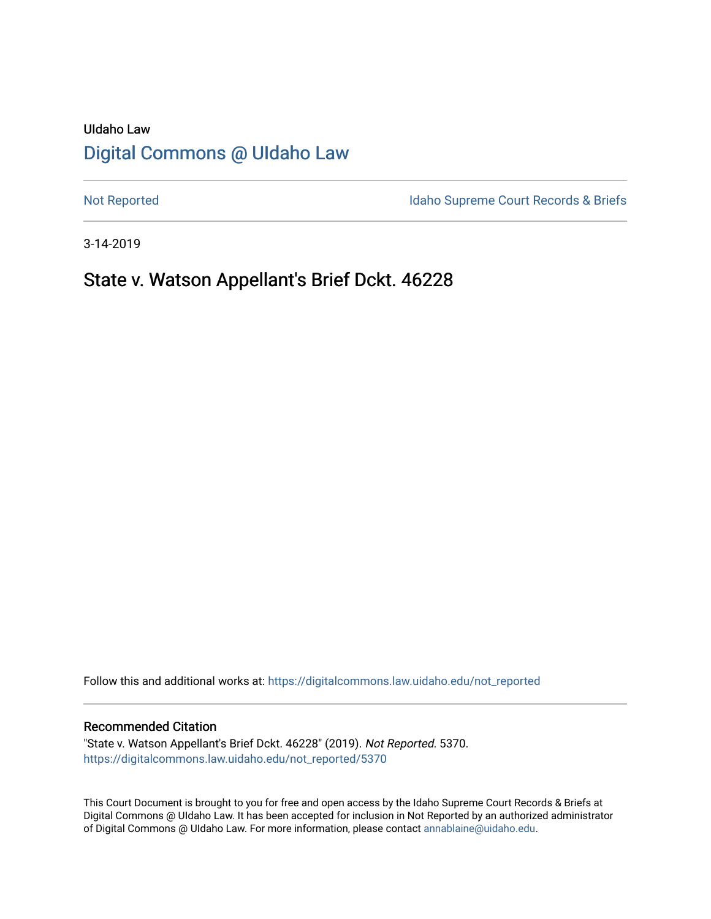# UIdaho Law [Digital Commons @ UIdaho Law](https://digitalcommons.law.uidaho.edu/)

[Not Reported](https://digitalcommons.law.uidaho.edu/not_reported) **Idaho Supreme Court Records & Briefs** 

3-14-2019

# State v. Watson Appellant's Brief Dckt. 46228

Follow this and additional works at: [https://digitalcommons.law.uidaho.edu/not\\_reported](https://digitalcommons.law.uidaho.edu/not_reported?utm_source=digitalcommons.law.uidaho.edu%2Fnot_reported%2F5370&utm_medium=PDF&utm_campaign=PDFCoverPages) 

### Recommended Citation

"State v. Watson Appellant's Brief Dckt. 46228" (2019). Not Reported. 5370. [https://digitalcommons.law.uidaho.edu/not\\_reported/5370](https://digitalcommons.law.uidaho.edu/not_reported/5370?utm_source=digitalcommons.law.uidaho.edu%2Fnot_reported%2F5370&utm_medium=PDF&utm_campaign=PDFCoverPages)

This Court Document is brought to you for free and open access by the Idaho Supreme Court Records & Briefs at Digital Commons @ UIdaho Law. It has been accepted for inclusion in Not Reported by an authorized administrator of Digital Commons @ UIdaho Law. For more information, please contact [annablaine@uidaho.edu](mailto:annablaine@uidaho.edu).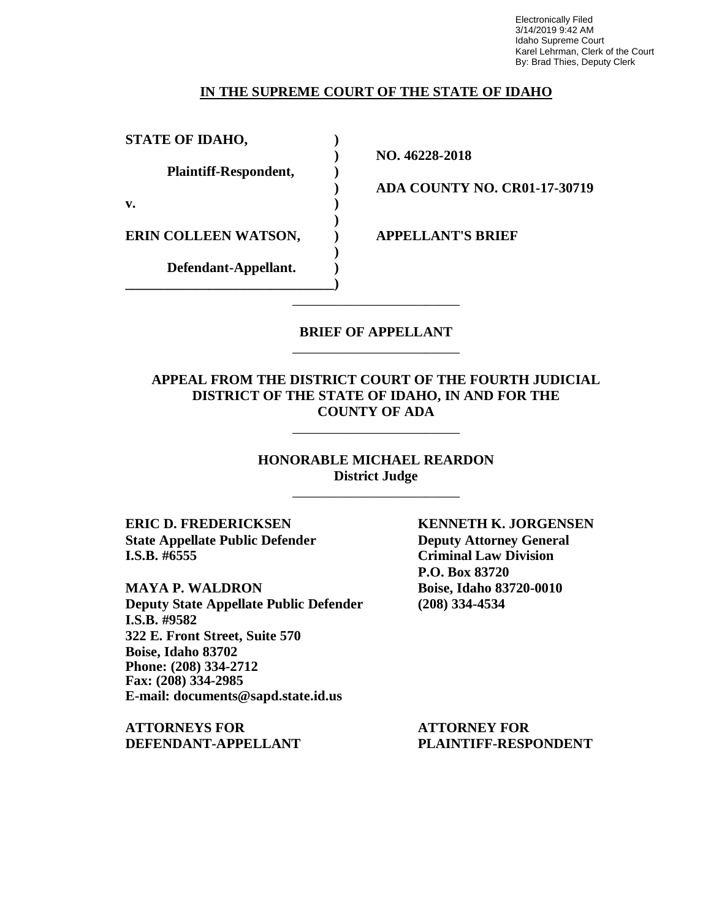Electronically Filed 3/14/2019 9:42 AM Idaho Supreme Court Karel Lehrman, Clerk of the Court By: Brad Thies, Deputy Clerk

### **IN THE SUPREME COURT OF THE STATE OF IDAHO**

**STATE OF IDAHO, ) Plaintiff-Respondent, )**

**v. )**

**ERIN COLLEEN WATSON, ) APPELLANT'S BRIEF**

**Defendant-Appellant. ) \_\_\_\_\_\_\_\_\_\_\_\_\_\_\_\_\_\_\_\_\_\_\_\_\_\_\_\_\_\_)**

**) NO. 46228-2018**

**) ADA COUNTY NO. CR01-17-30719**

### **BRIEF OF APPELLANT** \_\_\_\_\_\_\_\_\_\_\_\_\_\_\_\_\_\_\_\_\_\_\_\_

\_\_\_\_\_\_\_\_\_\_\_\_\_\_\_\_\_\_\_\_\_\_\_\_

**)**

**)**

### **APPEAL FROM THE DISTRICT COURT OF THE FOURTH JUDICIAL DISTRICT OF THE STATE OF IDAHO, IN AND FOR THE COUNTY OF ADA**

\_\_\_\_\_\_\_\_\_\_\_\_\_\_\_\_\_\_\_\_\_\_\_\_

**HONORABLE MICHAEL REARDON District Judge**

\_\_\_\_\_\_\_\_\_\_\_\_\_\_\_\_\_\_\_\_\_\_\_\_

**ERIC D. FREDERICKSEN KENNETH K. JORGENSEN State Appellate Public Defender Deputy Attorney General I.S.B. #6555 Criminal Law Division**

**MAYA P. WALDRON Boise, Idaho 83720-0010 Deputy State Appellate Public Defender (208) 334-4534 I.S.B. #9582 322 E. Front Street, Suite 570 Boise, Idaho 83702 Phone: (208) 334-2712 Fax: (208) 334-2985 E-mail: documents@sapd.state.id.us**

**ATTORNEYS FOR ATTORNEY FOR DEFENDANT-APPELLANT PLAINTIFF-RESPONDENT**

**P.O. Box 83720**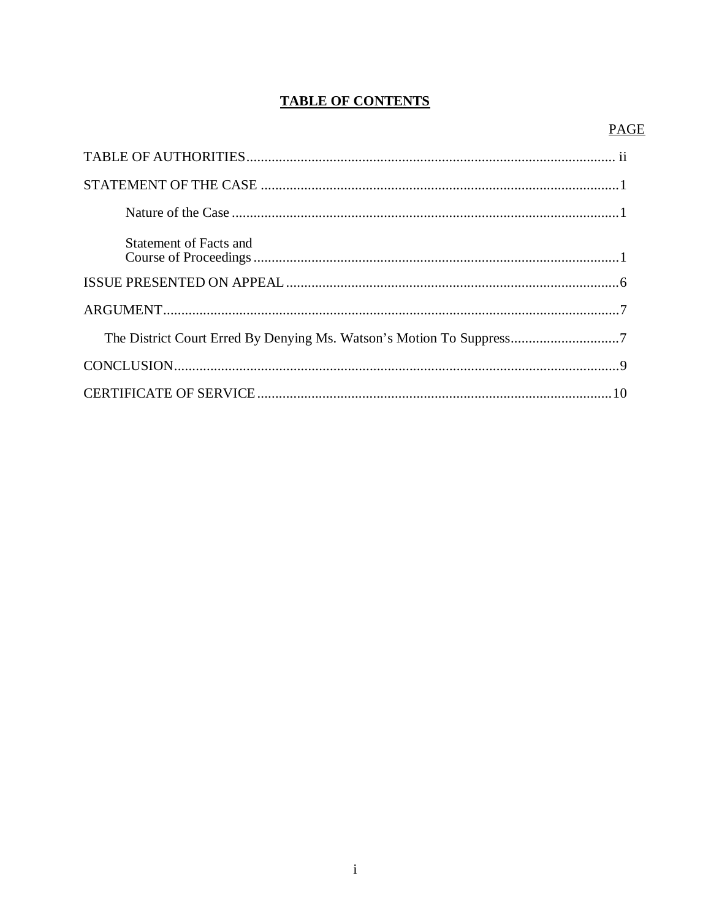## **TABLE OF CONTENTS**

### **PAGE**

| <b>Statement of Facts and</b>                                        |
|----------------------------------------------------------------------|
|                                                                      |
|                                                                      |
| The District Court Erred By Denying Ms. Watson's Motion To Suppress7 |
|                                                                      |
|                                                                      |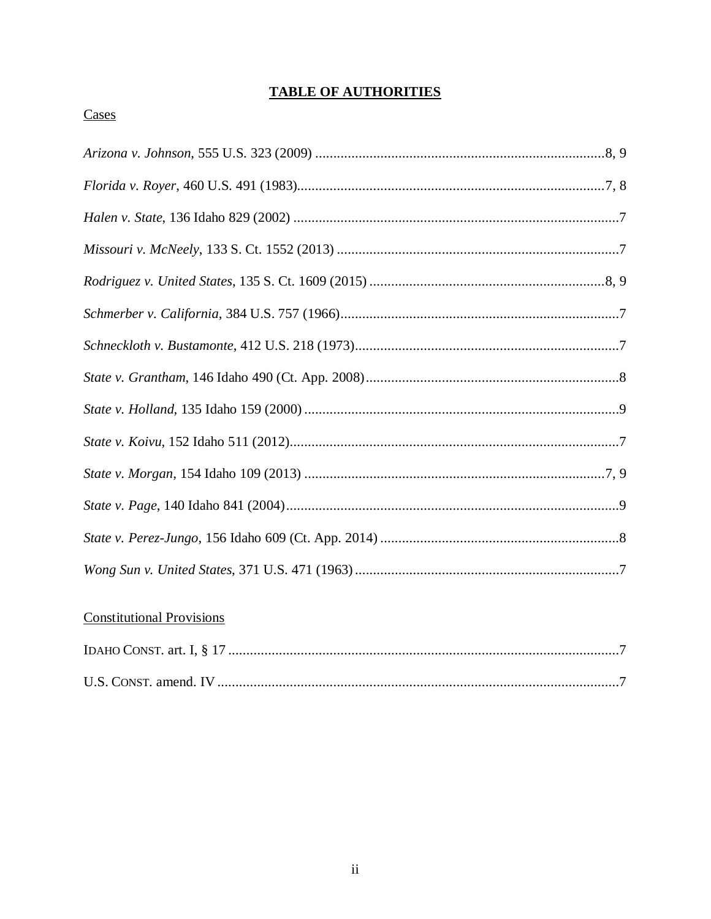## **TABLE OF AUTHORITIES**

### Cases

## **Constitutional Provisions**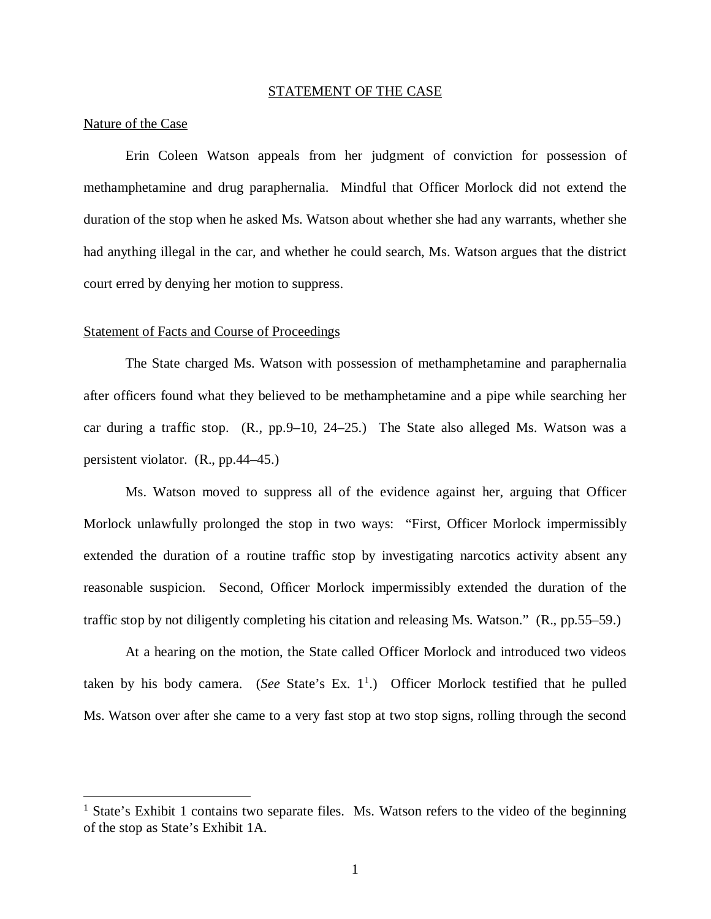#### STATEMENT OF THE CASE

### Nature of the Case

Erin Coleen Watson appeals from her judgment of conviction for possession of methamphetamine and drug paraphernalia. Mindful that Officer Morlock did not extend the duration of the stop when he asked Ms. Watson about whether she had any warrants, whether she had anything illegal in the car, and whether he could search, Ms. Watson argues that the district court erred by denying her motion to suppress.

#### Statement of Facts and Course of Proceedings

The State charged Ms. Watson with possession of methamphetamine and paraphernalia after officers found what they believed to be methamphetamine and a pipe while searching her car during a traffic stop. (R., pp.9–10, 24–25.) The State also alleged Ms. Watson was a persistent violator. (R., pp.44–45.)

Ms. Watson moved to suppress all of the evidence against her, arguing that Officer Morlock unlawfully prolonged the stop in two ways: "First, Officer Morlock impermissibly extended the duration of a routine traffic stop by investigating narcotics activity absent any reasonable suspicion. Second, Officer Morlock impermissibly extended the duration of the traffic stop by not diligently completing his citation and releasing Ms. Watson." (R., pp.55–59.)

At a hearing on the motion, the State called Officer Morlock and introduced two videos taken by his body camera. (*See* State's Ex. [1](#page-4-0)<sup>1</sup>.) Officer Morlock testified that he pulled Ms. Watson over after she came to a very fast stop at two stop signs, rolling through the second

<span id="page-4-0"></span><sup>&</sup>lt;sup>1</sup> State's Exhibit 1 contains two separate files. Ms. Watson refers to the video of the beginning of the stop as State's Exhibit 1A.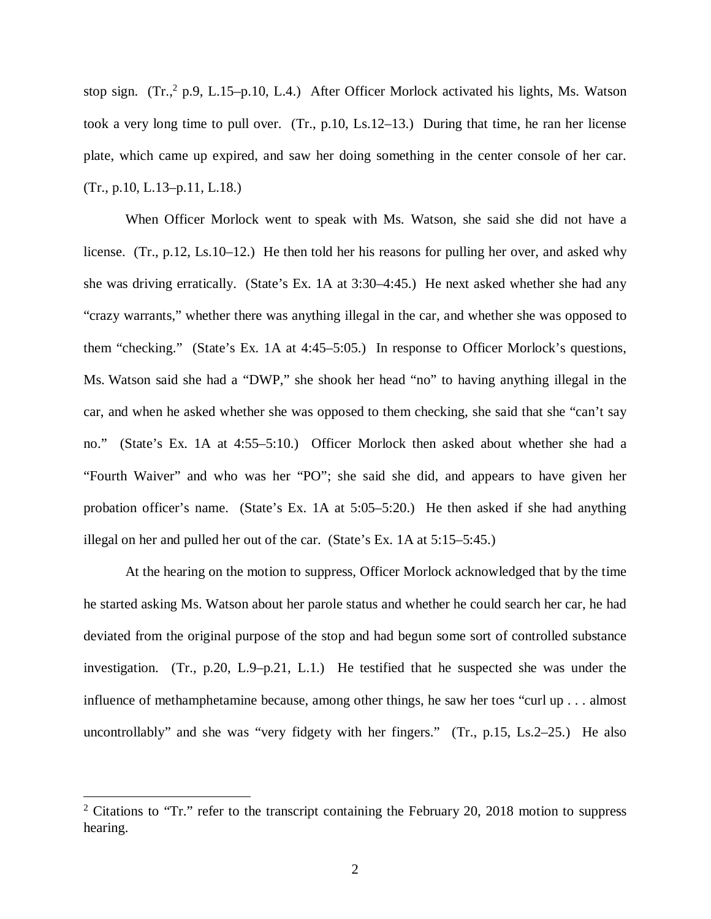stop sign. (Tr.,<sup>[2](#page-5-0)</sup> p.9, L.15–p.10, L.4.) After Officer Morlock activated his lights, Ms. Watson took a very long time to pull over. (Tr., p.10, Ls.12–13.) During that time, he ran her license plate, which came up expired, and saw her doing something in the center console of her car. (Tr., p.10, L.13–p.11, L.18.)

When Officer Morlock went to speak with Ms. Watson, she said she did not have a license. (Tr., p.12, Ls.10–12.) He then told her his reasons for pulling her over, and asked why she was driving erratically. (State's Ex. 1A at 3:30–4:45.) He next asked whether she had any "crazy warrants," whether there was anything illegal in the car, and whether she was opposed to them "checking." (State's Ex. 1A at 4:45–5:05.) In response to Officer Morlock's questions, Ms. Watson said she had a "DWP," she shook her head "no" to having anything illegal in the car, and when he asked whether she was opposed to them checking, she said that she "can't say no." (State's Ex. 1A at 4:55–5:10.) Officer Morlock then asked about whether she had a "Fourth Waiver" and who was her "PO"; she said she did, and appears to have given her probation officer's name. (State's Ex. 1A at 5:05–5:20.) He then asked if she had anything illegal on her and pulled her out of the car. (State's Ex. 1A at 5:15–5:45.)

At the hearing on the motion to suppress, Officer Morlock acknowledged that by the time he started asking Ms. Watson about her parole status and whether he could search her car, he had deviated from the original purpose of the stop and had begun some sort of controlled substance investigation. (Tr., p.20, L.9–p.21, L.1.) He testified that he suspected she was under the influence of methamphetamine because, among other things, he saw her toes "curl up . . . almost uncontrollably" and she was "very fidgety with her fingers." (Tr., p.15, Ls.2–25.) He also

<span id="page-5-0"></span><sup>&</sup>lt;sup>2</sup> Citations to "Tr." refer to the transcript containing the February 20, 2018 motion to suppress hearing.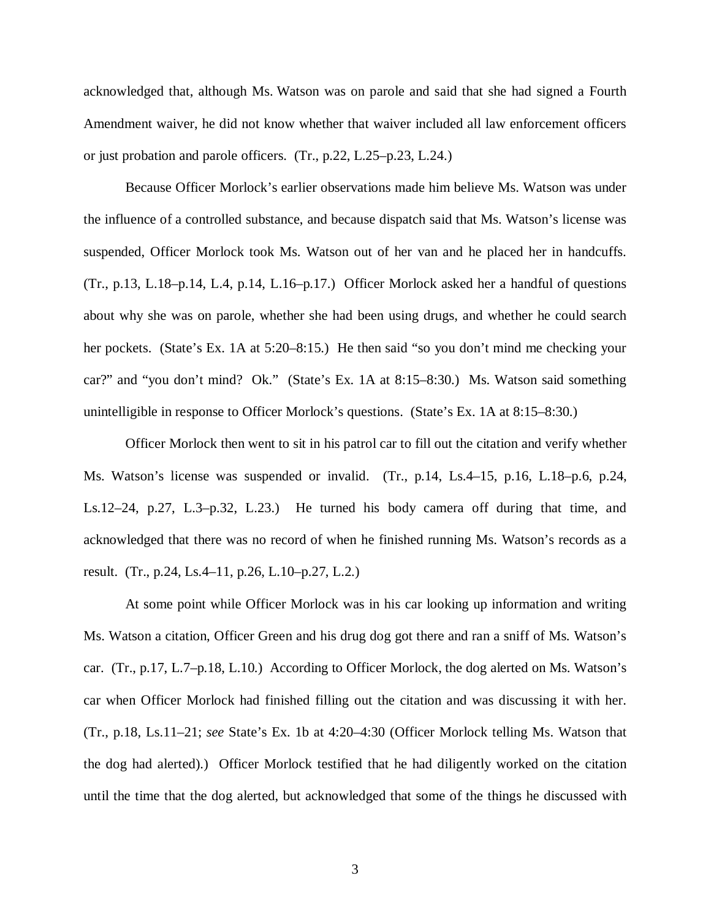acknowledged that, although Ms. Watson was on parole and said that she had signed a Fourth Amendment waiver, he did not know whether that waiver included all law enforcement officers or just probation and parole officers. (Tr., p.22, L.25–p.23, L.24.)

Because Officer Morlock's earlier observations made him believe Ms. Watson was under the influence of a controlled substance, and because dispatch said that Ms. Watson's license was suspended, Officer Morlock took Ms. Watson out of her van and he placed her in handcuffs. (Tr., p.13, L.18–p.14, L.4, p.14, L.16–p.17.) Officer Morlock asked her a handful of questions about why she was on parole, whether she had been using drugs, and whether he could search her pockets. (State's Ex. 1A at 5:20–8:15.) He then said "so you don't mind me checking your car?" and "you don't mind? Ok." (State's Ex. 1A at 8:15–8:30.) Ms. Watson said something unintelligible in response to Officer Morlock's questions. (State's Ex. 1A at 8:15–8:30.)

Officer Morlock then went to sit in his patrol car to fill out the citation and verify whether Ms. Watson's license was suspended or invalid. (Tr., p.14, Ls.4–15, p.16, L.18–p.6, p.24, Ls.12–24, p.27, L.3–p.32, L.23.) He turned his body camera off during that time, and acknowledged that there was no record of when he finished running Ms. Watson's records as a result. (Tr., p.24, Ls.4–11, p.26, L.10–p.27, L.2.)

At some point while Officer Morlock was in his car looking up information and writing Ms. Watson a citation, Officer Green and his drug dog got there and ran a sniff of Ms. Watson's car. (Tr., p.17, L.7–p.18, L.10.) According to Officer Morlock, the dog alerted on Ms. Watson's car when Officer Morlock had finished filling out the citation and was discussing it with her. (Tr., p.18, Ls.11–21; *see* State's Ex. 1b at 4:20–4:30 (Officer Morlock telling Ms. Watson that the dog had alerted).) Officer Morlock testified that he had diligently worked on the citation until the time that the dog alerted, but acknowledged that some of the things he discussed with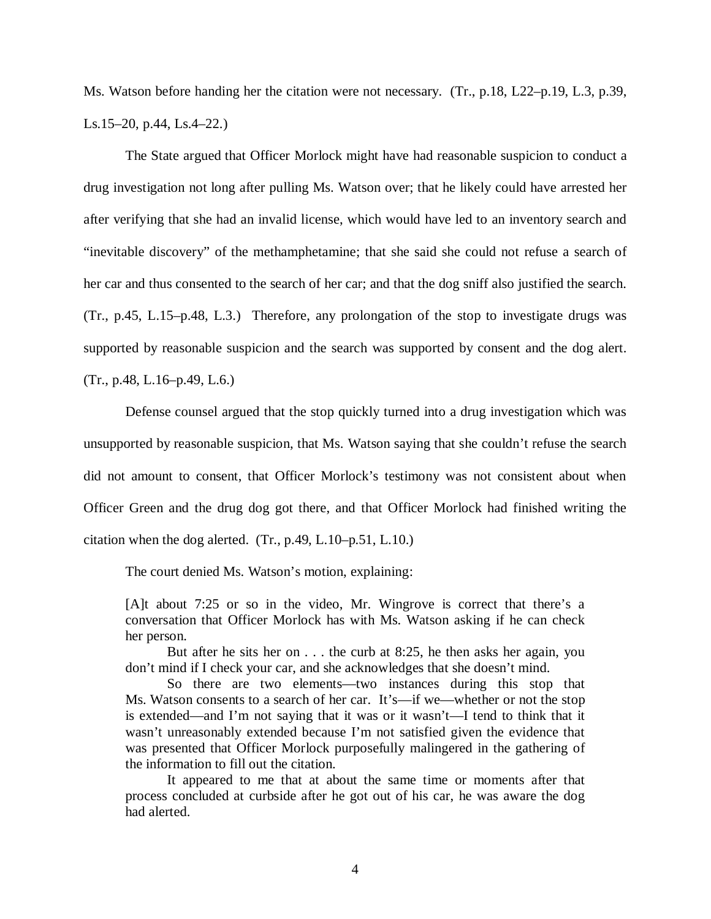Ms. Watson before handing her the citation were not necessary. (Tr., p.18, L22–p.19, L.3, p.39, Ls.15–20, p.44, Ls.4–22.)

The State argued that Officer Morlock might have had reasonable suspicion to conduct a drug investigation not long after pulling Ms. Watson over; that he likely could have arrested her after verifying that she had an invalid license, which would have led to an inventory search and "inevitable discovery" of the methamphetamine; that she said she could not refuse a search of her car and thus consented to the search of her car; and that the dog sniff also justified the search. (Tr., p.45, L.15–p.48, L.3.) Therefore, any prolongation of the stop to investigate drugs was supported by reasonable suspicion and the search was supported by consent and the dog alert. (Tr., p.48, L.16–p.49, L.6.)

Defense counsel argued that the stop quickly turned into a drug investigation which was unsupported by reasonable suspicion, that Ms. Watson saying that she couldn't refuse the search did not amount to consent, that Officer Morlock's testimony was not consistent about when Officer Green and the drug dog got there, and that Officer Morlock had finished writing the citation when the dog alerted. (Tr., p.49, L.10–p.51, L.10.)

The court denied Ms. Watson's motion, explaining:

[A]t about 7:25 or so in the video, Mr. Wingrove is correct that there's a conversation that Officer Morlock has with Ms. Watson asking if he can check her person.

But after he sits her on . . . the curb at 8:25, he then asks her again, you don't mind if I check your car, and she acknowledges that she doesn't mind.

So there are two elements—two instances during this stop that Ms. Watson consents to a search of her car. It's—if we—whether or not the stop is extended—and I'm not saying that it was or it wasn't—I tend to think that it wasn't unreasonably extended because I'm not satisfied given the evidence that was presented that Officer Morlock purposefully malingered in the gathering of the information to fill out the citation.

It appeared to me that at about the same time or moments after that process concluded at curbside after he got out of his car, he was aware the dog had alerted.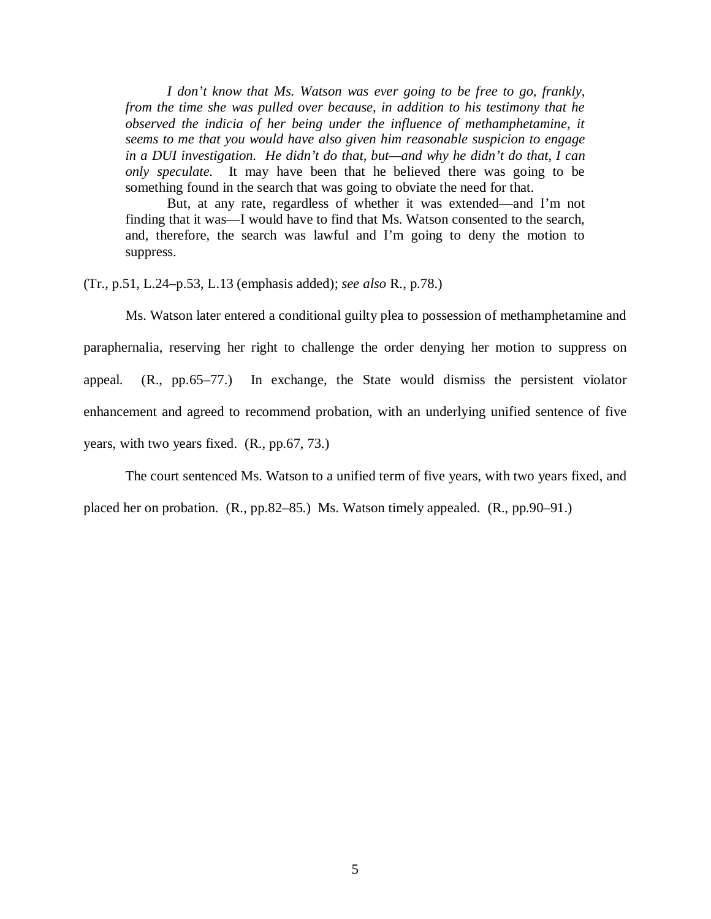*I don't know that Ms. Watson was ever going to be free to go, frankly, from the time she was pulled over because, in addition to his testimony that he observed the indicia of her being under the influence of methamphetamine, it seems to me that you would have also given him reasonable suspicion to engage in a DUI investigation. He didn't do that, but—and why he didn't do that, I can only speculate.* It may have been that he believed there was going to be something found in the search that was going to obviate the need for that.

But, at any rate, regardless of whether it was extended—and I'm not finding that it was—I would have to find that Ms. Watson consented to the search, and, therefore, the search was lawful and I'm going to deny the motion to suppress.

(Tr., p.51, L.24–p.53, L.13 (emphasis added); *see also* R., p.78.)

Ms. Watson later entered a conditional guilty plea to possession of methamphetamine and paraphernalia, reserving her right to challenge the order denying her motion to suppress on appeal. (R., pp.65–77.) In exchange, the State would dismiss the persistent violator enhancement and agreed to recommend probation, with an underlying unified sentence of five years, with two years fixed. (R., pp.67, 73.)

The court sentenced Ms. Watson to a unified term of five years, with two years fixed, and

placed her on probation. (R., pp.82–85.) Ms. Watson timely appealed. (R., pp.90–91.)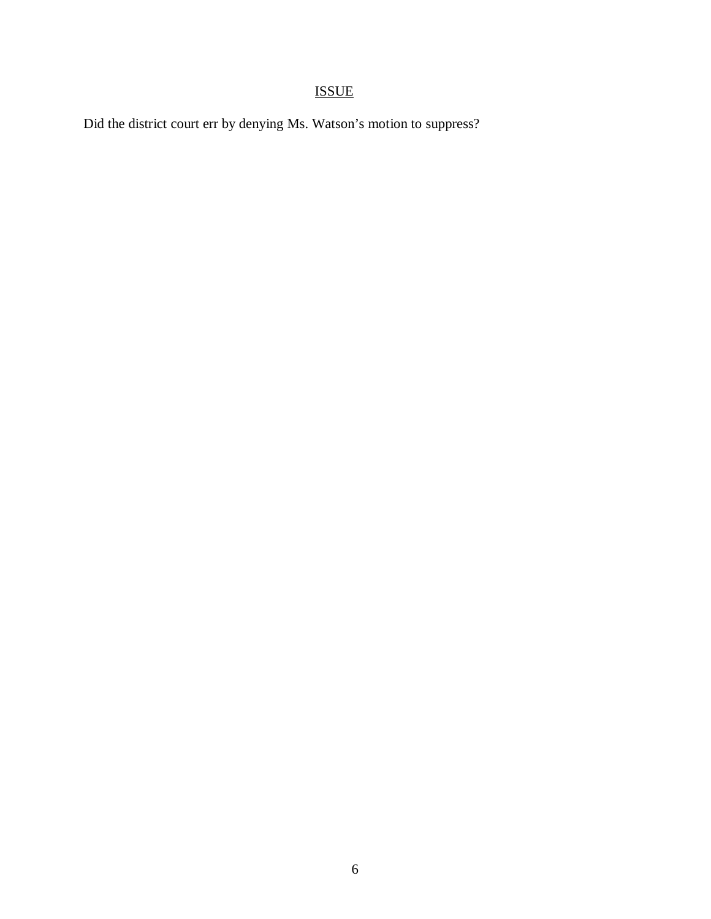# ISSUE

Did the district court err by denying Ms. Watson's motion to suppress?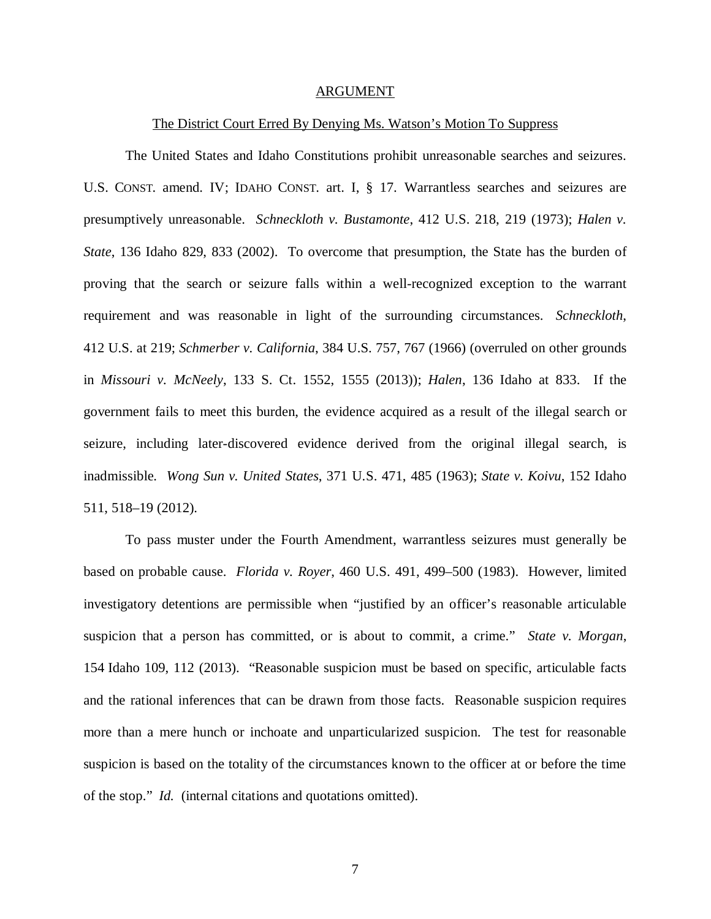#### ARGUMENT

#### The District Court Erred By Denying Ms. Watson's Motion To Suppress

The United States and Idaho Constitutions prohibit unreasonable searches and seizures. U.S. CONST. amend. IV; IDAHO CONST. art. I, § 17. Warrantless searches and seizures are presumptively unreasonable. *Schneckloth v. Bustamonte*, 412 U.S. 218, 219 (1973); *Halen v. State*, 136 Idaho 829, 833 (2002). To overcome that presumption, the State has the burden of proving that the search or seizure falls within a well-recognized exception to the warrant requirement and was reasonable in light of the surrounding circumstances. *Schneckloth*, 412 U.S. at 219; *Schmerber v. California*, 384 U.S. 757, 767 (1966) (overruled on other grounds in *Missouri v. McNeely*, 133 S. Ct. 1552, 1555 (2013)); *Halen*, 136 Idaho at 833. If the government fails to meet this burden, the evidence acquired as a result of the illegal search or seizure, including later-discovered evidence derived from the original illegal search, is inadmissible. *Wong Sun v. United States*, 371 U.S. 471, 485 (1963); *State v. Koivu*, 152 Idaho 511, 518–19 (2012).

To pass muster under the Fourth Amendment, warrantless seizures must generally be based on probable cause. *Florida v. Royer*, 460 U.S. 491, 499–500 (1983). However, limited investigatory detentions are permissible when "justified by an officer's reasonable articulable suspicion that a person has committed, or is about to commit, a crime." *State v. Morgan*, 154 Idaho 109, 112 (2013). "Reasonable suspicion must be based on specific, articulable facts and the rational inferences that can be drawn from those facts. Reasonable suspicion requires more than a mere hunch or inchoate and unparticularized suspicion. The test for reasonable suspicion is based on the totality of the circumstances known to the officer at or before the time of the stop." *Id.* (internal citations and quotations omitted).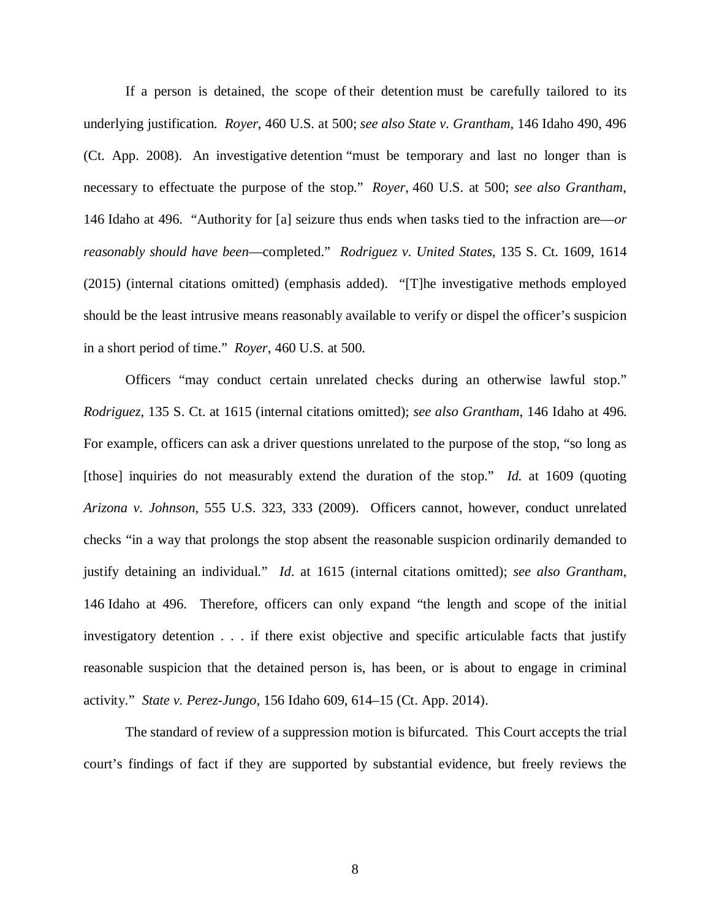If a person is detained, the scope of their detention must be carefully tailored to its underlying justification. *Royer*, 460 U.S. at 500; *see also State v. Grantham*, 146 Idaho 490, 496 (Ct. App. 2008). An investigative detention "must be temporary and last no longer than is necessary to effectuate the purpose of the stop." *Royer*, 460 U.S. at 500; *see also Grantham*, 146 Idaho at 496. "Authority for [a] seizure thus ends when tasks tied to the infraction are—*or reasonably should have been*—completed." *Rodriguez v. United States*, 135 S. Ct. 1609, 1614 (2015) (internal citations omitted) (emphasis added). "[T]he investigative methods employed should be the least intrusive means reasonably available to verify or dispel the officer's suspicion in a short period of time." *Royer*, 460 U.S. at 500.

Officers "may conduct certain unrelated checks during an otherwise lawful stop." *Rodriguez*, 135 S. Ct. at 1615 (internal citations omitted); *see also Grantham*, 146 Idaho at 496. For example, officers can ask a driver questions unrelated to the purpose of the stop, "so long as [those] inquiries do not measurably extend the duration of the stop." *Id.* at 1609 (quoting *Arizona v. Johnson*, 555 U.S. 323, 333 (2009). Officers cannot, however, conduct unrelated checks "in a way that prolongs the stop absent the reasonable suspicion ordinarily demanded to justify detaining an individual." *Id*. at 1615 (internal citations omitted); *see also Grantham*, 146 Idaho at 496. Therefore, officers can only expand "the length and scope of the initial investigatory detention . . . if there exist objective and specific articulable facts that justify reasonable suspicion that the detained person is, has been, or is about to engage in criminal activity." *State v. Perez-Jungo*, 156 Idaho 609, 614–15 (Ct. App. 2014).

The standard of review of a suppression motion is bifurcated. This Court accepts the trial court's findings of fact if they are supported by substantial evidence, but freely reviews the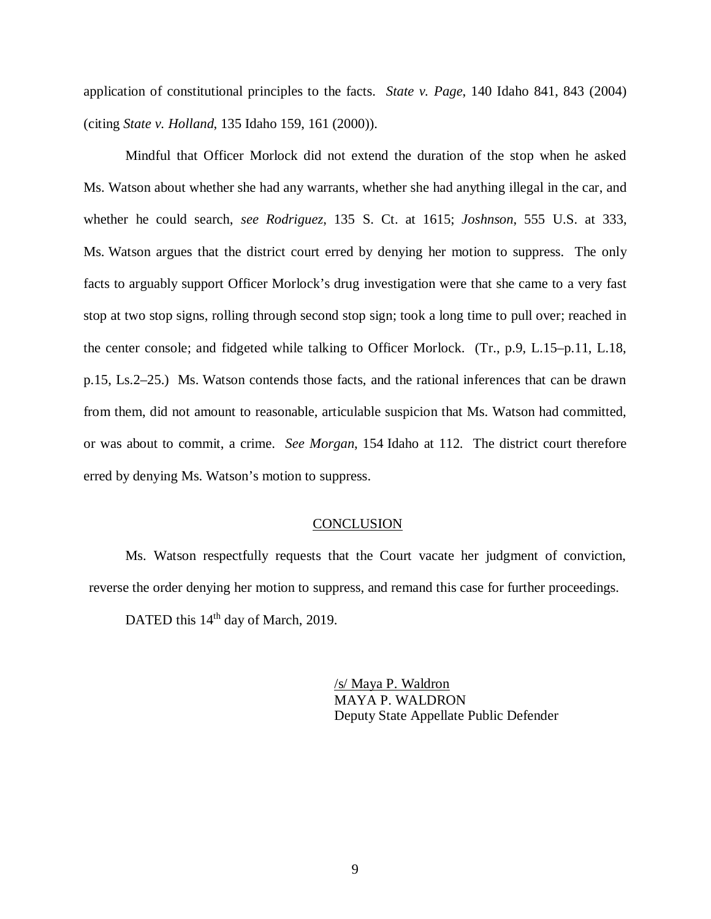application of constitutional principles to the facts. *State v. Page*, 140 Idaho 841, 843 (2004) (citing *State v. Holland*, 135 Idaho 159, 161 (2000)).

Mindful that Officer Morlock did not extend the duration of the stop when he asked Ms. Watson about whether she had any warrants, whether she had anything illegal in the car, and whether he could search, *see Rodriguez*, 135 S. Ct. at 1615; *Joshnson*, 555 U.S. at 333, Ms. Watson argues that the district court erred by denying her motion to suppress. The only facts to arguably support Officer Morlock's drug investigation were that she came to a very fast stop at two stop signs, rolling through second stop sign; took a long time to pull over; reached in the center console; and fidgeted while talking to Officer Morlock. (Tr., p.9, L.15–p.11, L.18, p.15, Ls.2–25.) Ms. Watson contends those facts, and the rational inferences that can be drawn from them, did not amount to reasonable, articulable suspicion that Ms. Watson had committed, or was about to commit, a crime. *See Morgan*, 154 Idaho at 112. The district court therefore erred by denying Ms. Watson's motion to suppress.

#### **CONCLUSION**

Ms. Watson respectfully requests that the Court vacate her judgment of conviction, reverse the order denying her motion to suppress, and remand this case for further proceedings.

DATED this 14<sup>th</sup> day of March, 2019.

/s/ Maya P. Waldron MAYA P. WALDRON Deputy State Appellate Public Defender